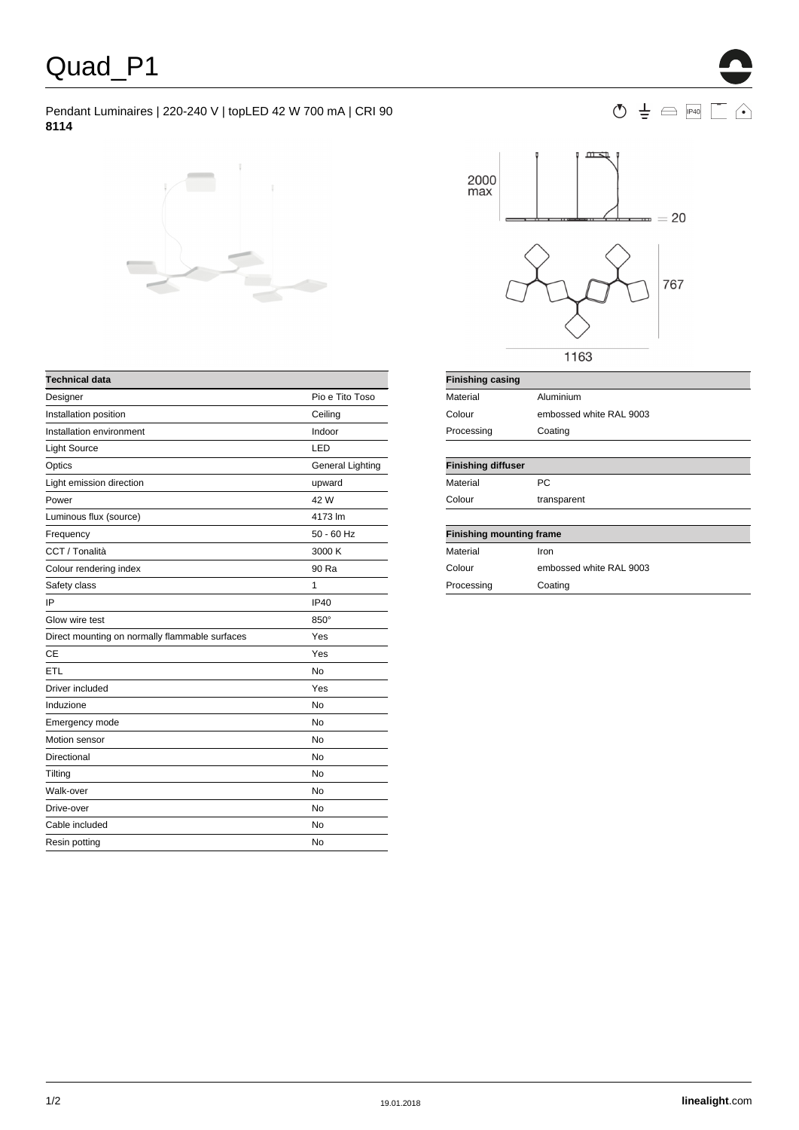## Pendant Luminaires | 220-240 V | topLED 42 W 700 mA | CRI 90 **8114**





| <b>Technical data</b>                          |                         |
|------------------------------------------------|-------------------------|
| Designer                                       | Pio e Tito Toso         |
| Installation position                          | Ceiling                 |
| Installation environment                       | Indoor                  |
| <b>Light Source</b>                            | LED                     |
| Optics                                         | <b>General Lighting</b> |
| Light emission direction                       | upward                  |
| Power                                          | 42 W                    |
| Luminous flux (source)                         | 4173 lm                 |
| Frequency                                      | $50 - 60$ Hz            |
| CCT / Tonalità                                 | 3000 K                  |
| Colour rendering index                         | 90 Ra                   |
| Safety class                                   | 1                       |
| IP                                             | <b>IP40</b>             |
| Glow wire test                                 | 850°                    |
| Direct mounting on normally flammable surfaces | Yes                     |
| <b>CE</b>                                      | Yes                     |
| ETL                                            | <b>No</b>               |
| Driver included                                | Yes                     |
| Induzione                                      | <b>No</b>               |
| Emergency mode                                 | No                      |
| Motion sensor                                  | <b>No</b>               |
| Directional                                    | No                      |
| Tilting                                        | No                      |
| Walk-over                                      | No                      |
| Drive-over                                     | No                      |
| Cable included                                 | <b>No</b>               |
| Resin potting                                  | No                      |
|                                                |                         |

| Material                        | Aluminium               |  |  |  |
|---------------------------------|-------------------------|--|--|--|
| Colour                          | embossed white RAL 9003 |  |  |  |
| Processing                      | Coating                 |  |  |  |
|                                 |                         |  |  |  |
| <b>Finishing diffuser</b>       |                         |  |  |  |
| Material                        | <b>PC</b>               |  |  |  |
| Colour                          | transparent             |  |  |  |
|                                 |                         |  |  |  |
| <b>Finishing mounting frame</b> |                         |  |  |  |
| Material                        | Iron                    |  |  |  |
| Colour                          | embossed white RAL 9003 |  |  |  |
| Processing                      | Coating                 |  |  |  |